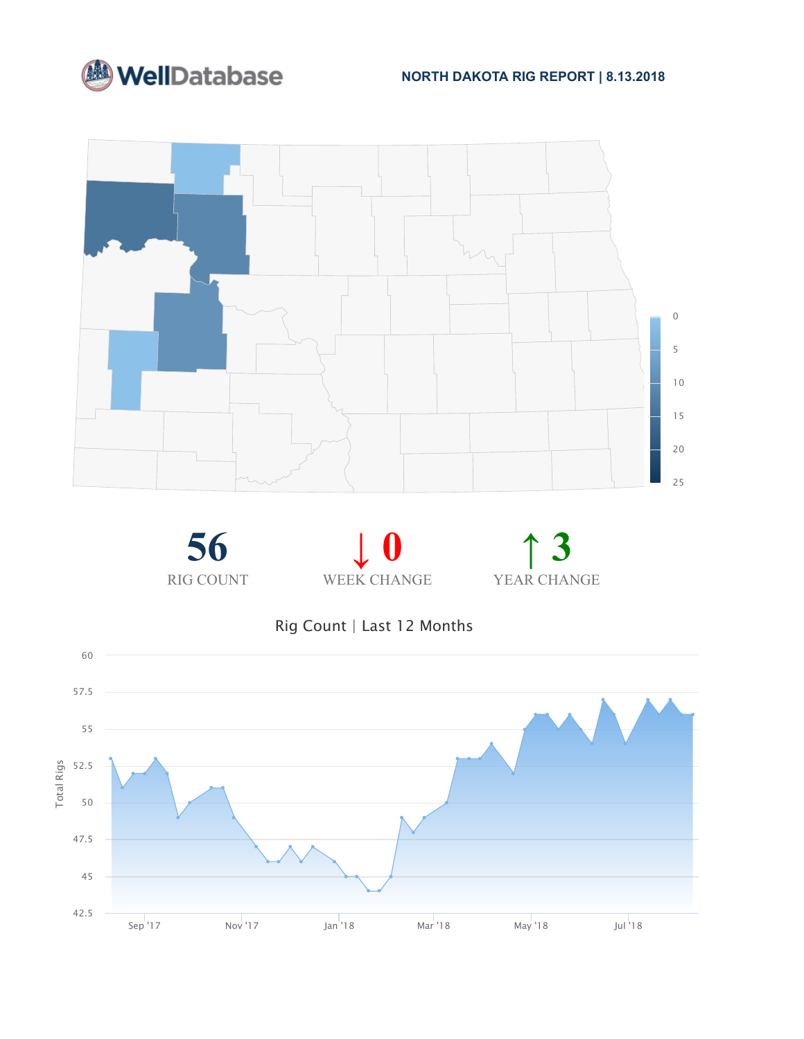











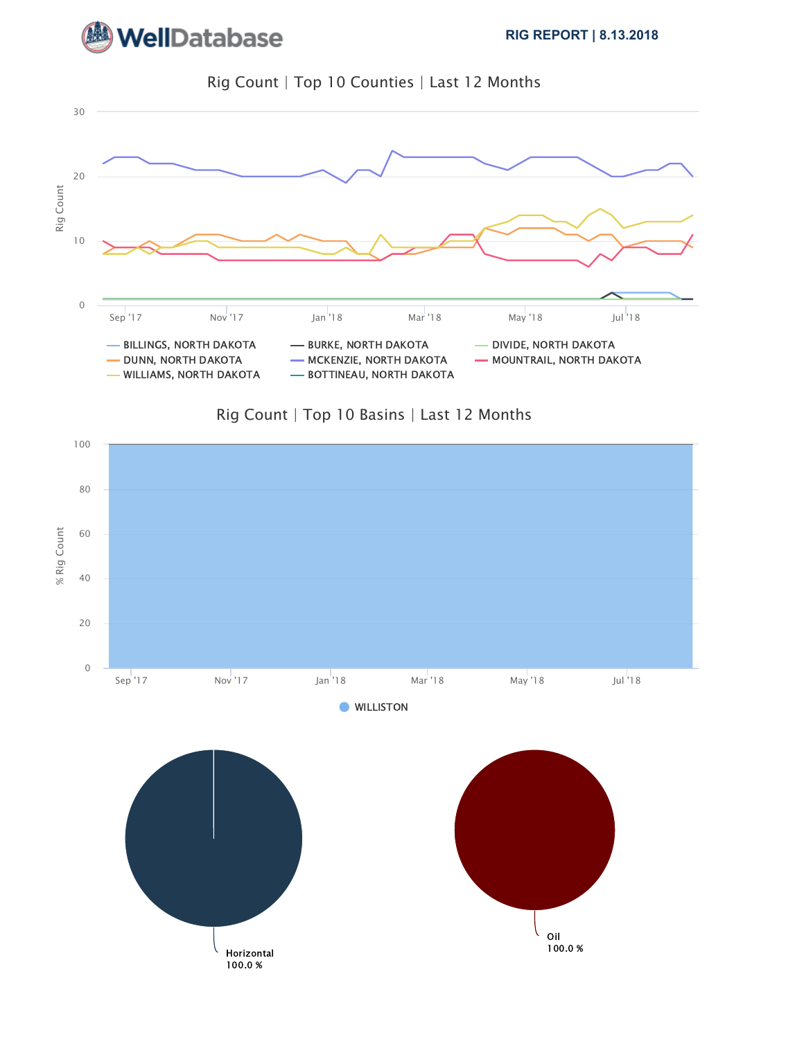



Rig Count | Top 10 Counties | Last 12 Months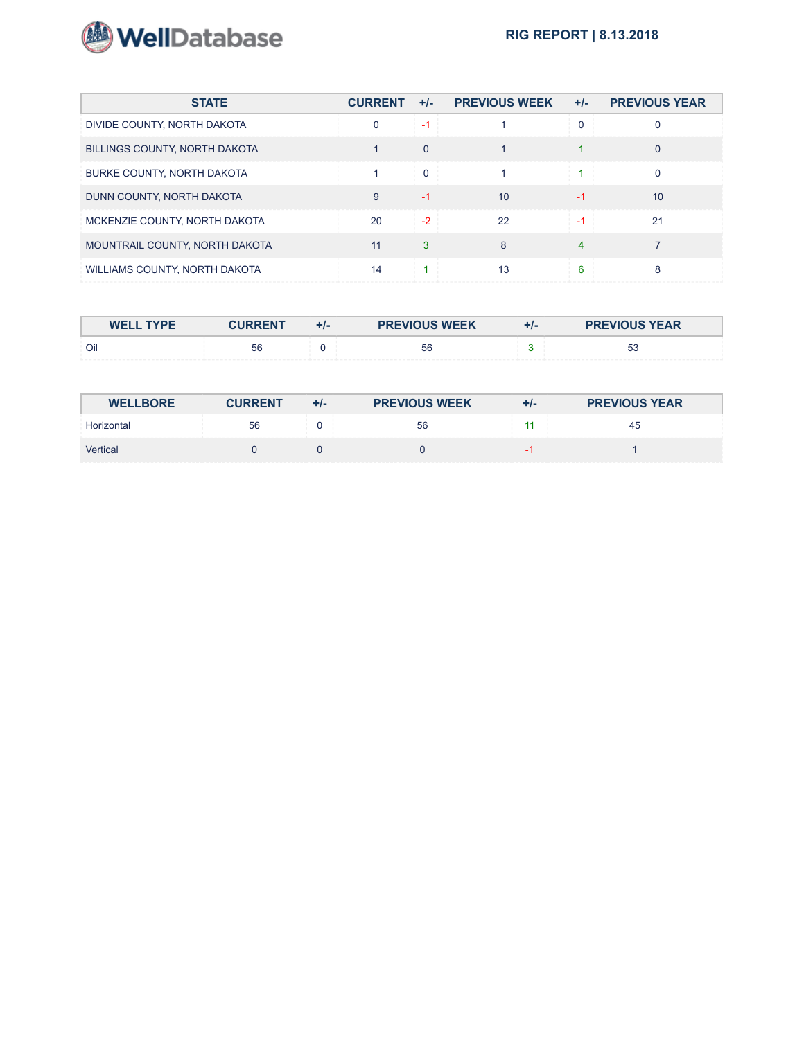

| <b>STATE</b>                      | <b>CURRENT</b> | $+/-$    | <b>PREVIOUS WEEK</b> | $+/-$ | <b>PREVIOUS YEAR</b> |
|-----------------------------------|----------------|----------|----------------------|-------|----------------------|
| DIVIDE COUNTY, NORTH DAKOTA       | 0              | -1       |                      |       |                      |
| BILLINGS COUNTY, NORTH DAKOTA     |                | $\Omega$ |                      |       | $\Omega$             |
| <b>BURKE COUNTY, NORTH DAKOTA</b> |                | $\Omega$ |                      |       |                      |
| DUNN COUNTY, NORTH DAKOTA         | 9              | -1       | 10                   | -1    | 10                   |
| MCKENZIE COUNTY, NORTH DAKOTA     | 20             | $-2$     | 22                   | $-1$  | 21                   |
| MOUNTRAIL COUNTY, NORTH DAKOTA    | 11             | 3        | 8                    | 4     |                      |
| WILLIAMS COUNTY, NORTH DAKOTA     | 14             |          | 13                   | 6     | 8                    |

| <b>WELL TYPE</b> | <b>CURRENT</b> | ۰, | <b>PREVIOUS WEEK</b> | <b>PREVIOUS YEAR</b> |
|------------------|----------------|----|----------------------|----------------------|
| Oil              | 56             |    | 56                   | 広く<br>vu             |

| <b>WELLBORE</b> | <b>CURRENT</b> | $+/-$ | <b>PREVIOUS WEEK</b> | $+/-$ | <b>PREVIOUS YEAR</b> |
|-----------------|----------------|-------|----------------------|-------|----------------------|
| Horizontal      | 56             |       | 56                   |       | 45                   |
| <b>Vertical</b> |                |       |                      |       |                      |